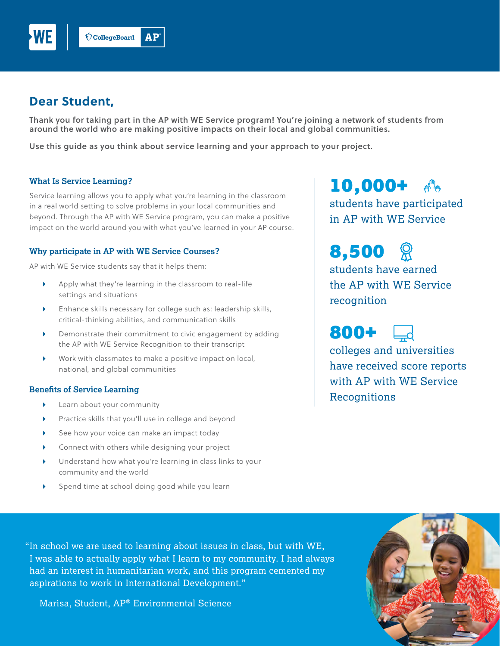

# **Dear Student,**

Thank you for taking part in the AP with WE Service program! You're joining a network of students from around the world who are making positive impacts on their local and global communities.

Use this guide as you think about service learning and your approach to your project.

#### **What Is Service Learning?**

Service learning allows you to apply what you're learning in the classroom in a real world setting to solve problems in your local communities and beyond. Through the AP with WE Service program, you can make a positive impact on the world around you with what you've learned in your AP course.

## **Why participate in AP with WE Service Courses?**

AP with WE Service students say that it helps them:

- Apply what they're learning in the classroom to real-life settings and situations
- Enhance skills necessary for college such as: leadership skills, critical-thinking abilities, and communication skills
- Demonstrate their commitment to civic engagement by adding the AP with WE Service Recognition to their transcript
- Work with classmates to make a positive impact on local, national, and global communities

#### **Benefits of Service Learning**

- **Learn about your community**
- Practice skills that you'll use in college and beyond
- See how your voice can make an impact today
- Connect with others while designing your project
- Understand how what you're learning in class links to your community and the world
- Spend time at school doing good while you learn

10,000+  $\sqrt{n}$ 

students have participated in AP with WE Service

8,500 students have earned the AP with WE Service recognition

800+

colleges and universities have received score reports with AP with WE Service **Recognitions** 

"In school we are used to learning about issues in class, but with WE, I was able to actually apply what I learn to my community. I had always had an interest in humanitarian work, and this program cemented my aspirations to work in International Development."

Marisa, Student, AP® Environmental Science